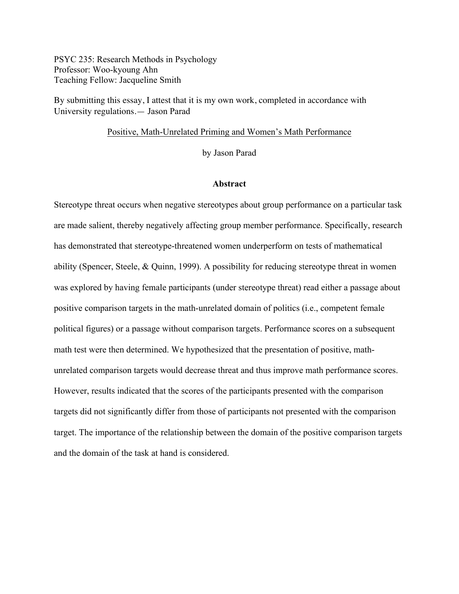PSYC 235: Research Methods in Psychology Professor: Woo-kyoung Ahn Teaching Fellow: Jacqueline Smith

By submitting this essay, I attest that it is my own work, completed in accordance with University regulations.— Jason Parad

# Positive, Math-Unrelated Priming and Women's Math Performance

by Jason Parad

## **Abstract**

Stereotype threat occurs when negative stereotypes about group performance on a particular task are made salient, thereby negatively affecting group member performance. Specifically, research has demonstrated that stereotype-threatened women underperform on tests of mathematical ability (Spencer, Steele, & Quinn, 1999). A possibility for reducing stereotype threat in women was explored by having female participants (under stereotype threat) read either a passage about positive comparison targets in the math-unrelated domain of politics (i.e., competent female political figures) or a passage without comparison targets. Performance scores on a subsequent math test were then determined. We hypothesized that the presentation of positive, mathunrelated comparison targets would decrease threat and thus improve math performance scores. However, results indicated that the scores of the participants presented with the comparison targets did not significantly differ from those of participants not presented with the comparison target. The importance of the relationship between the domain of the positive comparison targets and the domain of the task at hand is considered.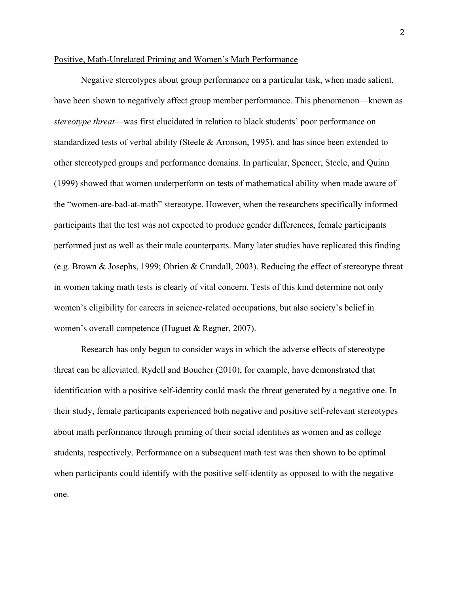## Positive, Math-Unrelated Priming and Women's Math Performance

Negative stereotypes about group performance on a particular task, when made salient, have been shown to negatively affect group member performance. This phenomenon—known as *stereotype threat*—was first elucidated in relation to black students' poor performance on standardized tests of verbal ability (Steele & Aronson, 1995), and has since been extended to other stereotyped groups and performance domains. In particular, Spencer, Steele, and Quinn (1999) showed that women underperform on tests of mathematical ability when made aware of the "women-are-bad-at-math" stereotype. However, when the researchers specifically informed participants that the test was not expected to produce gender differences, female participants performed just as well as their male counterparts. Many later studies have replicated this finding (e.g. Brown & Josephs, 1999; Obrien & Crandall, 2003). Reducing the effect of stereotype threat in women taking math tests is clearly of vital concern. Tests of this kind determine not only women's eligibility for careers in science-related occupations, but also society's belief in women's overall competence (Huguet & Regner, 2007).

Research has only begun to consider ways in which the adverse effects of stereotype threat can be alleviated. Rydell and Boucher (2010), for example, have demonstrated that identification with a positive self-identity could mask the threat generated by a negative one. In their study, female participants experienced both negative and positive self-relevant stereotypes about math performance through priming of their social identities as women and as college students, respectively. Performance on a subsequent math test was then shown to be optimal when participants could identify with the positive self-identity as opposed to with the negative one.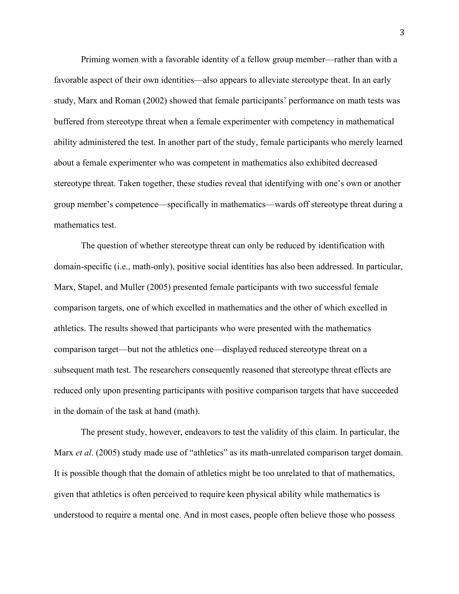Priming women with a favorable identity of a fellow group member—rather than with a favorable aspect of their own identities—also appears to alleviate stereotype theat. In an early study, Marx and Roman (2002) showed that female participants' performance on math tests was buffered from stereotype threat when a female experimenter with competency in mathematical ability administered the test. In another part of the study, female participants who merely learned about a female experimenter who was competent in mathematics also exhibited decreased stereotype threat. Taken together, these studies reveal that identifying with one's own or another group member's competence—specifically in mathematics—wards off stereotype threat during a mathematics test.

The question of whether stereotype threat can only be reduced by identification with domain-specific (i.e., math-only), positive social identities has also been addressed. In particular, Marx, Stapel, and Muller (2005) presented female participants with two successful female comparison targets, one of which excelled in mathematics and the other of which excelled in athletics. The results showed that participants who were presented with the mathematics comparison target—but not the athletics one—displayed reduced stereotype threat on a subsequent math test. The researchers consequently reasoned that stereotype threat effects are reduced only upon presenting participants with positive comparison targets that have succeeded in the domain of the task at hand (math).

The present study, however, endeavors to test the validity of this claim. In particular, the Marx *et al.* (2005) study made use of "athletics" as its math-unrelated comparison target domain. It is possible though that the domain of athletics might be too unrelated to that of mathematics, given that athletics is often perceived to require keen physical ability while mathematics is understood to require a mental one. And in most cases, people often believe those who possess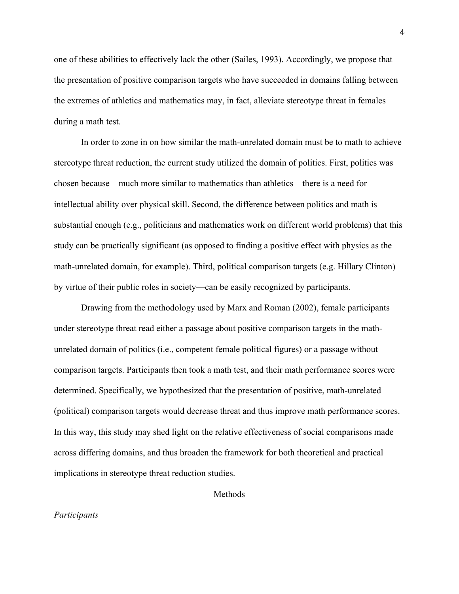one of these abilities to effectively lack the other (Sailes, 1993). Accordingly, we propose that the presentation of positive comparison targets who have succeeded in domains falling between the extremes of athletics and mathematics may, in fact, alleviate stereotype threat in females during a math test.

In order to zone in on how similar the math-unrelated domain must be to math to achieve stereotype threat reduction, the current study utilized the domain of politics. First, politics was chosen because—much more similar to mathematics than athletics—there is a need for intellectual ability over physical skill. Second, the difference between politics and math is substantial enough (e.g., politicians and mathematics work on different world problems) that this study can be practically significant (as opposed to finding a positive effect with physics as the math-unrelated domain, for example). Third, political comparison targets (e.g. Hillary Clinton) by virtue of their public roles in society—can be easily recognized by participants.

Drawing from the methodology used by Marx and Roman (2002), female participants under stereotype threat read either a passage about positive comparison targets in the mathunrelated domain of politics (i.e., competent female political figures) or a passage without comparison targets. Participants then took a math test, and their math performance scores were determined. Specifically, we hypothesized that the presentation of positive, math-unrelated (political) comparison targets would decrease threat and thus improve math performance scores. In this way, this study may shed light on the relative effectiveness of social comparisons made across differing domains, and thus broaden the framework for both theoretical and practical implications in stereotype threat reduction studies.

Methods

#### *Participants*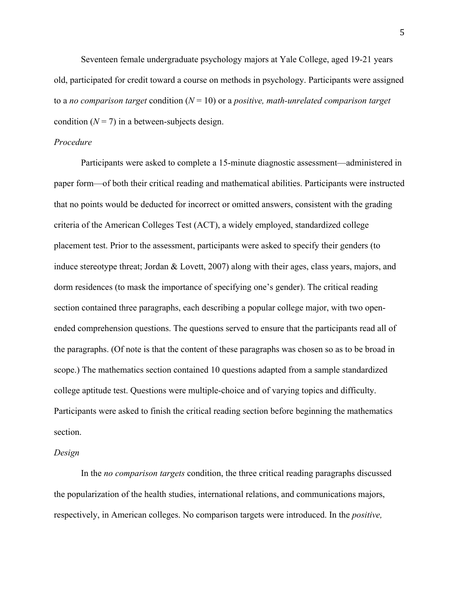Seventeen female undergraduate psychology majors at Yale College, aged 19-21 years old, participated for credit toward a course on methods in psychology. Participants were assigned to a *no comparison target* condition (*N* = 10) or a *positive, math-unrelated comparison target* condition  $(N = 7)$  in a between-subjects design.

# *Procedure*

Participants were asked to complete a 15-minute diagnostic assessment—administered in paper form—of both their critical reading and mathematical abilities. Participants were instructed that no points would be deducted for incorrect or omitted answers, consistent with the grading criteria of the American Colleges Test (ACT), a widely employed, standardized college placement test. Prior to the assessment, participants were asked to specify their genders (to induce stereotype threat; Jordan & Lovett, 2007) along with their ages, class years, majors, and dorm residences (to mask the importance of specifying one's gender). The critical reading section contained three paragraphs, each describing a popular college major, with two openended comprehension questions. The questions served to ensure that the participants read all of the paragraphs. (Of note is that the content of these paragraphs was chosen so as to be broad in scope.) The mathematics section contained 10 questions adapted from a sample standardized college aptitude test. Questions were multiple-choice and of varying topics and difficulty. Participants were asked to finish the critical reading section before beginning the mathematics section.

#### *Design*

In the *no comparison targets* condition, the three critical reading paragraphs discussed the popularization of the health studies, international relations, and communications majors, respectively, in American colleges. No comparison targets were introduced. In the *positive,*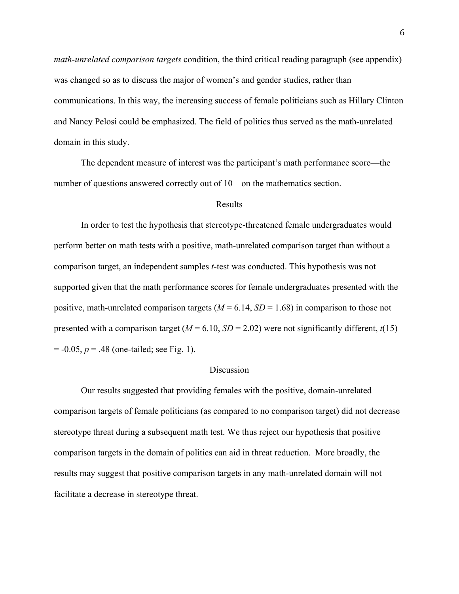*math-unrelated comparison targets* condition, the third critical reading paragraph (see appendix) was changed so as to discuss the major of women's and gender studies, rather than communications. In this way, the increasing success of female politicians such as Hillary Clinton and Nancy Pelosi could be emphasized. The field of politics thus served as the math-unrelated domain in this study.

The dependent measure of interest was the participant's math performance score—the number of questions answered correctly out of 10—on the mathematics section.

## Results

In order to test the hypothesis that stereotype-threatened female undergraduates would perform better on math tests with a positive, math-unrelated comparison target than without a comparison target, an independent samples *t*-test was conducted. This hypothesis was not supported given that the math performance scores for female undergraduates presented with the positive, math-unrelated comparison targets  $(M = 6.14, SD = 1.68)$  in comparison to those not presented with a comparison target ( $M = 6.10$ ,  $SD = 2.02$ ) were not significantly different,  $t(15)$  $= -0.05, p = .48$  (one-tailed; see Fig. 1).

### Discussion

Our results suggested that providing females with the positive, domain-unrelated comparison targets of female politicians (as compared to no comparison target) did not decrease stereotype threat during a subsequent math test. We thus reject our hypothesis that positive comparison targets in the domain of politics can aid in threat reduction. More broadly, the results may suggest that positive comparison targets in any math-unrelated domain will not facilitate a decrease in stereotype threat.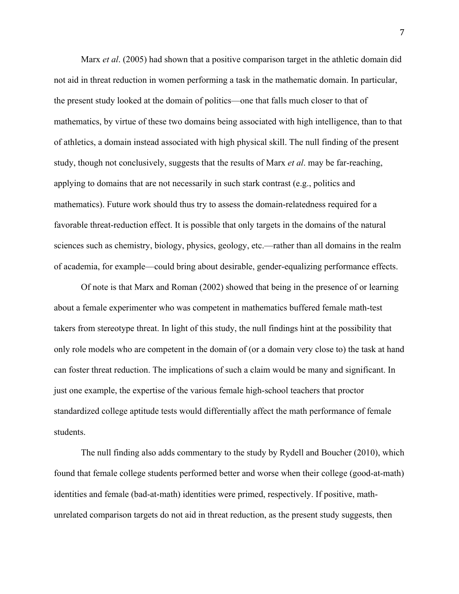Marx *et al*. (2005) had shown that a positive comparison target in the athletic domain did not aid in threat reduction in women performing a task in the mathematic domain. In particular, the present study looked at the domain of politics—one that falls much closer to that of mathematics, by virtue of these two domains being associated with high intelligence, than to that of athletics, a domain instead associated with high physical skill. The null finding of the present study, though not conclusively, suggests that the results of Marx *et al*. may be far-reaching, applying to domains that are not necessarily in such stark contrast (e.g., politics and mathematics). Future work should thus try to assess the domain-relatedness required for a favorable threat-reduction effect. It is possible that only targets in the domains of the natural sciences such as chemistry, biology, physics, geology, etc.—rather than all domains in the realm of academia, for example—could bring about desirable, gender-equalizing performance effects.

Of note is that Marx and Roman (2002) showed that being in the presence of or learning about a female experimenter who was competent in mathematics buffered female math-test takers from stereotype threat. In light of this study, the null findings hint at the possibility that only role models who are competent in the domain of (or a domain very close to) the task at hand can foster threat reduction. The implications of such a claim would be many and significant. In just one example, the expertise of the various female high-school teachers that proctor standardized college aptitude tests would differentially affect the math performance of female students.

The null finding also adds commentary to the study by Rydell and Boucher (2010), which found that female college students performed better and worse when their college (good-at-math) identities and female (bad-at-math) identities were primed, respectively. If positive, mathunrelated comparison targets do not aid in threat reduction, as the present study suggests, then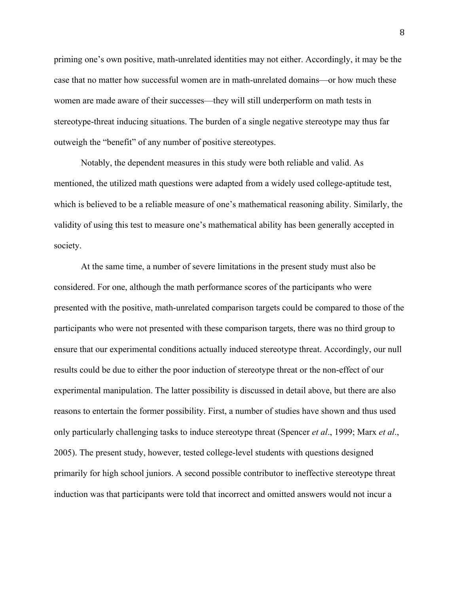priming one's own positive, math-unrelated identities may not either. Accordingly, it may be the case that no matter how successful women are in math-unrelated domains—or how much these women are made aware of their successes—they will still underperform on math tests in stereotype-threat inducing situations. The burden of a single negative stereotype may thus far outweigh the "benefit" of any number of positive stereotypes.

Notably, the dependent measures in this study were both reliable and valid. As mentioned, the utilized math questions were adapted from a widely used college-aptitude test, which is believed to be a reliable measure of one's mathematical reasoning ability. Similarly, the validity of using this test to measure one's mathematical ability has been generally accepted in society.

At the same time, a number of severe limitations in the present study must also be considered. For one, although the math performance scores of the participants who were presented with the positive, math-unrelated comparison targets could be compared to those of the participants who were not presented with these comparison targets, there was no third group to ensure that our experimental conditions actually induced stereotype threat. Accordingly, our null results could be due to either the poor induction of stereotype threat or the non-effect of our experimental manipulation. The latter possibility is discussed in detail above, but there are also reasons to entertain the former possibility. First, a number of studies have shown and thus used only particularly challenging tasks to induce stereotype threat (Spencer *et al*., 1999; Marx *et al*., 2005). The present study, however, tested college-level students with questions designed primarily for high school juniors. A second possible contributor to ineffective stereotype threat induction was that participants were told that incorrect and omitted answers would not incur a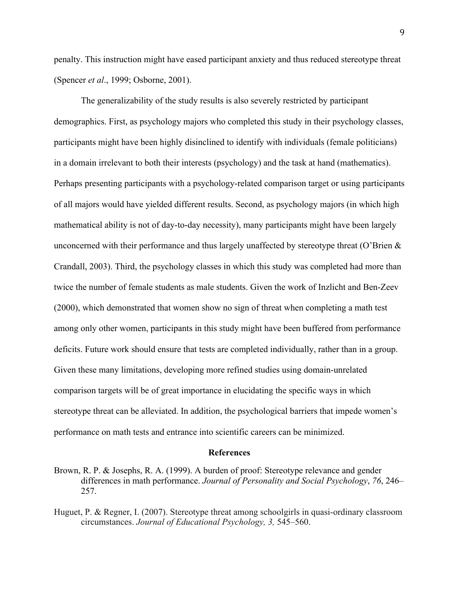penalty. This instruction might have eased participant anxiety and thus reduced stereotype threat (Spencer *et al*., 1999; Osborne, 2001).

The generalizability of the study results is also severely restricted by participant demographics. First, as psychology majors who completed this study in their psychology classes, participants might have been highly disinclined to identify with individuals (female politicians) in a domain irrelevant to both their interests (psychology) and the task at hand (mathematics). Perhaps presenting participants with a psychology-related comparison target or using participants of all majors would have yielded different results. Second, as psychology majors (in which high mathematical ability is not of day-to-day necessity), many participants might have been largely unconcerned with their performance and thus largely unaffected by stereotype threat (O'Brien  $\&$ Crandall, 2003). Third, the psychology classes in which this study was completed had more than twice the number of female students as male students. Given the work of Inzlicht and Ben-Zeev (2000), which demonstrated that women show no sign of threat when completing a math test among only other women, participants in this study might have been buffered from performance deficits. Future work should ensure that tests are completed individually, rather than in a group. Given these many limitations, developing more refined studies using domain-unrelated comparison targets will be of great importance in elucidating the specific ways in which stereotype threat can be alleviated. In addition, the psychological barriers that impede women's performance on math tests and entrance into scientific careers can be minimized.

#### **References**

Brown, R. P. & Josephs, R. A. (1999). A burden of proof: Stereotype relevance and gender differences in math performance. *Journal of Personality and Social Psychology*, *76*, 246– 257.

Huguet, P. & Regner, I. (2007). Stereotype threat among schoolgirls in quasi-ordinary classroom circumstances. *Journal of Educational Psychology, 3,* 545–560.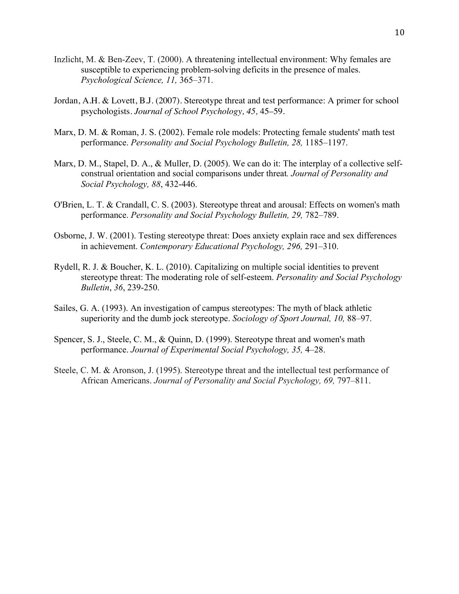- Inzlicht, M. & Ben-Zeev, T. (2000). A threatening intellectual environment: Why females are susceptible to experiencing problem-solving deficits in the presence of males. *Psychological Science, 11,* 365–371.
- Jordan, A.H. & Lovett, B.J. (2007). Stereotype threat and test performance: A primer for school psychologists. *Journal of School Psychology, 45,* 45–59.
- Marx, D. M. & Roman, J. S. (2002). Female role models: Protecting female students' math test performance. *Personality and Social Psychology Bulletin, 28,* 1185–1197.
- Marx, D. M., Stapel, D. A., & Muller, D. (2005). We can do it: The interplay of a collective selfconstrual orientation and social comparisons under threat*. Journal of Personality and Social Psychology, 88*, 432-446.
- O'Brien, L. T. & Crandall, C. S. (2003). Stereotype threat and arousal: Effects on women's math performance. *Personality and Social Psychology Bulletin, 29,* 782–789.
- Osborne, J. W. (2001). Testing stereotype threat: Does anxiety explain race and sex differences in achievement. *Contemporary Educational Psychology, 296,* 291–310.
- Rydell, R. J. & Boucher, K. L. (2010). Capitalizing on multiple social identities to prevent stereotype threat: The moderating role of self-esteem. *Personality and Social Psychology Bulletin*, *36*, 239-250.
- Sailes, G. A. (1993). An investigation of campus stereotypes: The myth of black athletic superiority and the dumb jock stereotype. *Sociology of Sport Journal, 10,* 88–97.
- Spencer, S. J., Steele, C. M., & Quinn, D. (1999). Stereotype threat and women's math performance. *Journal of Experimental Social Psychology, 35,* 4–28.
- Steele, C. M. & Aronson, J. (1995). Stereotype threat and the intellectual test performance of African Americans. *Journal of Personality and Social Psychology, 69, 797–811*.